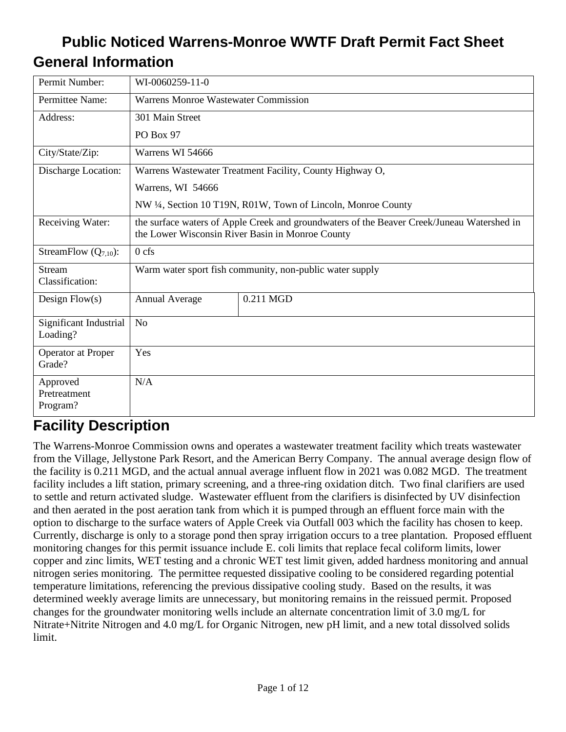# **Public Noticed Warrens-Monroe WWTF Draft Permit Fact Sheet General Information**

| Permit Number:                       | WI-0060259-11-0                                                                                                                                |                                                          |  |  |  |  |
|--------------------------------------|------------------------------------------------------------------------------------------------------------------------------------------------|----------------------------------------------------------|--|--|--|--|
| Permittee Name:                      |                                                                                                                                                | Warrens Monroe Wastewater Commission                     |  |  |  |  |
| Address:                             | 301 Main Street                                                                                                                                |                                                          |  |  |  |  |
|                                      | PO Box 97                                                                                                                                      |                                                          |  |  |  |  |
| City/State/Zip:                      | Warrens WI 54666                                                                                                                               |                                                          |  |  |  |  |
| Discharge Location:                  |                                                                                                                                                | Warrens Wastewater Treatment Facility, County Highway O, |  |  |  |  |
|                                      | Warrens, WI 54666                                                                                                                              |                                                          |  |  |  |  |
|                                      | NW 1/4, Section 10 T19N, R01W, Town of Lincoln, Monroe County                                                                                  |                                                          |  |  |  |  |
| Receiving Water:                     | the surface waters of Apple Creek and groundwaters of the Beaver Creek/Juneau Watershed in<br>the Lower Wisconsin River Basin in Monroe County |                                                          |  |  |  |  |
| StreamFlow $(Q_{7,10})$ :            | $0$ cfs                                                                                                                                        |                                                          |  |  |  |  |
| Stream<br>Classification:            |                                                                                                                                                | Warm water sport fish community, non-public water supply |  |  |  |  |
| Design $Flow(s)$                     | Annual Average                                                                                                                                 | 0.211 MGD                                                |  |  |  |  |
| Significant Industrial<br>Loading?   | N <sub>o</sub>                                                                                                                                 |                                                          |  |  |  |  |
| Operator at Proper<br>Grade?         | Yes                                                                                                                                            |                                                          |  |  |  |  |
| Approved<br>Pretreatment<br>Program? | N/A                                                                                                                                            |                                                          |  |  |  |  |

# **Facility Description**

The Warrens-Monroe Commission owns and operates a wastewater treatment facility which treats wastewater from the Village, Jellystone Park Resort, and the American Berry Company. The annual average design flow of the facility is 0.211 MGD, and the actual annual average influent flow in 2021 was 0.082 MGD. The treatment facility includes a lift station, primary screening, and a three-ring oxidation ditch. Two final clarifiers are used to settle and return activated sludge. Wastewater effluent from the clarifiers is disinfected by UV disinfection and then aerated in the post aeration tank from which it is pumped through an effluent force main with the option to discharge to the surface waters of Apple Creek via Outfall 003 which the facility has chosen to keep. Currently, discharge is only to a storage pond then spray irrigation occurs to a tree plantation. Proposed effluent monitoring changes for this permit issuance include E. coli limits that replace fecal coliform limits, lower copper and zinc limits, WET testing and a chronic WET test limit given, added hardness monitoring and annual nitrogen series monitoring. The permittee requested dissipative cooling to be considered regarding potential temperature limitations, referencing the previous dissipative cooling study. Based on the results, it was determined weekly average limits are unnecessary, but monitoring remains in the reissued permit. Proposed changes for the groundwater monitoring wells include an alternate concentration limit of 3.0 mg/L for Nitrate+Nitrite Nitrogen and 4.0 mg/L for Organic Nitrogen, new pH limit, and a new total dissolved solids limit.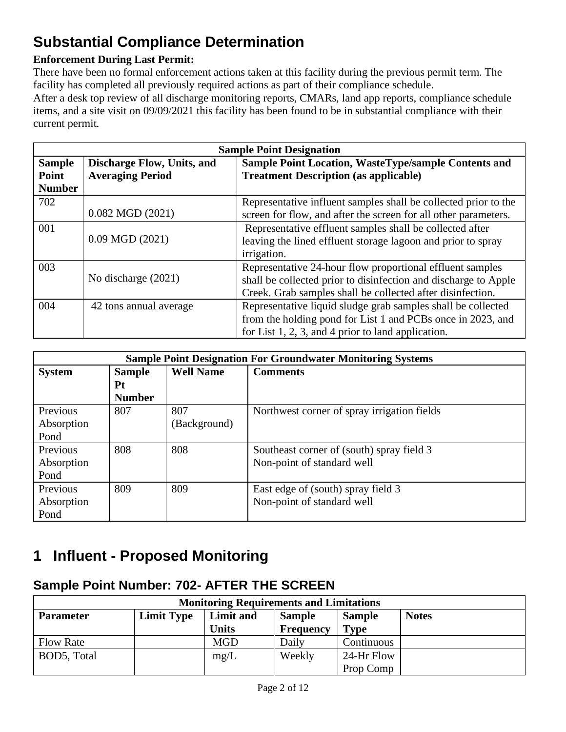# **Substantial Compliance Determination**

### **Enforcement During Last Permit:**

There have been no formal enforcement actions taken at this facility during the previous permit term. The facility has completed all previously required actions as part of their compliance schedule.

After a desk top review of all discharge monitoring reports, CMARs, land app reports, compliance schedule items, and a site visit on 09/09/2021 this facility has been found to be in substantial compliance with their current permit.

|               | <b>Sample Point Designation</b> |                                                                 |  |  |  |
|---------------|---------------------------------|-----------------------------------------------------------------|--|--|--|
| <b>Sample</b> | Discharge Flow, Units, and      | <b>Sample Point Location, WasteType/sample Contents and</b>     |  |  |  |
| Point         | <b>Averaging Period</b>         | <b>Treatment Description (as applicable)</b>                    |  |  |  |
| <b>Number</b> |                                 |                                                                 |  |  |  |
| 702           |                                 | Representative influent samples shall be collected prior to the |  |  |  |
|               | $0.082$ MGD $(2021)$            | screen for flow, and after the screen for all other parameters. |  |  |  |
| 001           |                                 | Representative effluent samples shall be collected after        |  |  |  |
|               | $0.09$ MGD $(2021)$             | leaving the lined effluent storage lagoon and prior to spray    |  |  |  |
|               |                                 | irrigation.                                                     |  |  |  |
| 003           |                                 | Representative 24-hour flow proportional effluent samples       |  |  |  |
|               | No discharge (2021)             | shall be collected prior to disinfection and discharge to Apple |  |  |  |
|               |                                 | Creek. Grab samples shall be collected after disinfection.      |  |  |  |
| 004           | 42 tons annual average          | Representative liquid sludge grab samples shall be collected    |  |  |  |
|               |                                 | from the holding pond for List 1 and PCBs once in 2023, and     |  |  |  |
|               |                                 | for List $1, 2, 3$ , and 4 prior to land application.           |  |  |  |

|                                | <b>Sample Point Designation For Groundwater Monitoring Systems</b> |                     |                                                                         |  |  |  |  |
|--------------------------------|--------------------------------------------------------------------|---------------------|-------------------------------------------------------------------------|--|--|--|--|
| <b>System</b>                  | <b>Sample</b><br><b>Pt</b><br><b>Number</b>                        | <b>Well Name</b>    | <b>Comments</b>                                                         |  |  |  |  |
| Previous<br>Absorption<br>Pond | 807                                                                | 807<br>(Background) | Northwest corner of spray irrigation fields                             |  |  |  |  |
| Previous<br>Absorption<br>Pond | 808                                                                | 808                 | Southeast corner of (south) spray field 3<br>Non-point of standard well |  |  |  |  |
| Previous<br>Absorption<br>Pond | 809                                                                | 809                 | East edge of (south) spray field 3<br>Non-point of standard well        |  |  |  |  |

# **1 Influent - Proposed Monitoring**

### **Sample Point Number: 702- AFTER THE SCREEN**

| <b>Monitoring Requirements and Limitations</b> |                                                                                  |              |                  |               |  |  |  |  |
|------------------------------------------------|----------------------------------------------------------------------------------|--------------|------------------|---------------|--|--|--|--|
| <b>Parameter</b>                               | <b>Notes</b><br><b>Limit Type</b><br>Limit and<br><b>Sample</b><br><b>Sample</b> |              |                  |               |  |  |  |  |
|                                                |                                                                                  | <b>Units</b> | <b>Frequency</b> | <b>Type</b>   |  |  |  |  |
| <b>Flow Rate</b>                               |                                                                                  | <b>MGD</b>   | Daily            | Continuous    |  |  |  |  |
| BOD5, Total                                    |                                                                                  | mg/L         | Weekly           | $24$ -Hr Flow |  |  |  |  |
|                                                |                                                                                  |              |                  | Prop Comp     |  |  |  |  |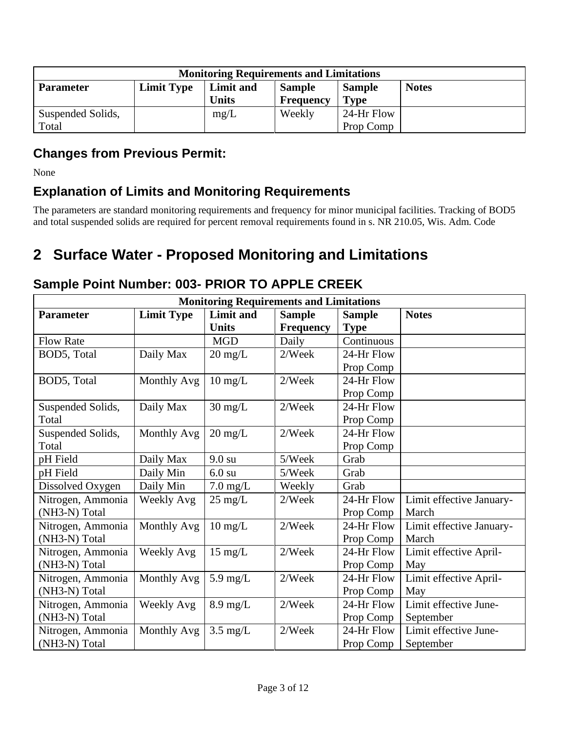| <b>Monitoring Requirements and Limitations</b>                                                       |  |              |                  |            |  |  |  |
|------------------------------------------------------------------------------------------------------|--|--------------|------------------|------------|--|--|--|
| <b>Limit Type</b><br>Limit and<br><b>Notes</b><br><b>Sample</b><br><b>Sample</b><br><b>Parameter</b> |  |              |                  |            |  |  |  |
|                                                                                                      |  | <b>Units</b> | <b>Frequency</b> | Type       |  |  |  |
| Suspended Solids,                                                                                    |  | mg/L         | Weekly           | 24-Hr Flow |  |  |  |
| Total                                                                                                |  |              |                  | Prop Comp  |  |  |  |

None

## **Explanation of Limits and Monitoring Requirements**

The parameters are standard monitoring requirements and frequency for minor municipal facilities. Tracking of BOD5 and total suspended solids are required for percent removal requirements found in s. NR 210.05, Wis. Adm. Code

# **2 Surface Water - Proposed Monitoring and Limitations**

### **Sample Point Number: 003- PRIOR TO APPLE CREEK**

| <b>Monitoring Requirements and Limitations</b> |                   |                    |                  |               |                          |  |  |
|------------------------------------------------|-------------------|--------------------|------------------|---------------|--------------------------|--|--|
| <b>Parameter</b>                               | <b>Limit Type</b> | <b>Limit and</b>   | <b>Sample</b>    | <b>Sample</b> | <b>Notes</b>             |  |  |
|                                                |                   | <b>Units</b>       | <b>Frequency</b> | <b>Type</b>   |                          |  |  |
| <b>Flow Rate</b>                               |                   | <b>MGD</b>         | Daily            | Continuous    |                          |  |  |
| BOD5, Total                                    | Daily Max         | $20 \text{ mg/L}$  | 2/Week           | 24-Hr Flow    |                          |  |  |
|                                                |                   |                    |                  | Prop Comp     |                          |  |  |
| BOD5, Total                                    | Monthly Avg       | $10 \text{ mg/L}$  | 2/Week           | 24-Hr Flow    |                          |  |  |
|                                                |                   |                    |                  | Prop Comp     |                          |  |  |
| Suspended Solids,                              | Daily Max         | $30 \text{ mg/L}$  | 2/Week           | 24-Hr Flow    |                          |  |  |
| Total                                          |                   |                    |                  | Prop Comp     |                          |  |  |
| Suspended Solids,                              | Monthly Avg       | $20 \text{ mg/L}$  | 2/Week           | 24-Hr Flow    |                          |  |  |
| Total                                          |                   |                    |                  | Prop Comp     |                          |  |  |
| pH Field                                       | Daily Max         | $9.0 \text{ su}$   | 5/Week           | Grab          |                          |  |  |
| pH Field                                       | Daily Min         | $6.0 \text{ su}$   | 5/Week           | Grab          |                          |  |  |
| Dissolved Oxygen                               | Daily Min         | $7.0 \text{ mg/L}$ | Weekly           | Grab          |                          |  |  |
| Nitrogen, Ammonia                              | Weekly Avg        | $25 \text{ mg/L}$  | 2/Week           | 24-Hr Flow    | Limit effective January- |  |  |
| (NH3-N) Total                                  |                   |                    |                  | Prop Comp     | March                    |  |  |
| Nitrogen, Ammonia                              | Monthly Avg       | $10 \text{ mg/L}$  | 2/Week           | 24-Hr Flow    | Limit effective January- |  |  |
| (NH3-N) Total                                  |                   |                    |                  | Prop Comp     | March                    |  |  |
| Nitrogen, Ammonia                              | Weekly Avg        | $15 \text{ mg/L}$  | 2/Week           | 24-Hr Flow    | Limit effective April-   |  |  |
| (NH3-N) Total                                  |                   |                    |                  | Prop Comp     | May                      |  |  |
| Nitrogen, Ammonia                              | Monthly Avg       | $5.9$ mg/L         | 2/Week           | 24-Hr Flow    | Limit effective April-   |  |  |
| (NH3-N) Total                                  |                   |                    |                  | Prop Comp     | May                      |  |  |
| Nitrogen, Ammonia                              | Weekly Avg        | $8.9 \text{ mg/L}$ | 2/Week           | 24-Hr Flow    | Limit effective June-    |  |  |
| (NH3-N) Total                                  |                   |                    |                  | Prop Comp     | September                |  |  |
| Nitrogen, Ammonia                              | Monthly Avg       | $3.5 \text{ mg/L}$ | 2/Week           | 24-Hr Flow    | Limit effective June-    |  |  |
| (NH3-N) Total                                  |                   |                    |                  | Prop Comp     | September                |  |  |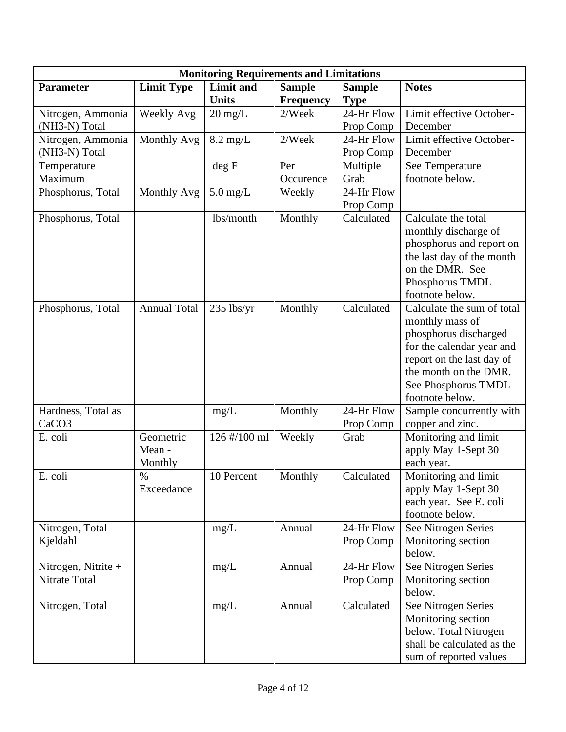|                                         | <b>Monitoring Requirements and Limitations</b> |                    |                  |                         |                                                                                                                                                                                                     |  |  |  |
|-----------------------------------------|------------------------------------------------|--------------------|------------------|-------------------------|-----------------------------------------------------------------------------------------------------------------------------------------------------------------------------------------------------|--|--|--|
| <b>Parameter</b>                        | <b>Limit Type</b>                              | Limit and          | <b>Sample</b>    | <b>Sample</b>           | <b>Notes</b>                                                                                                                                                                                        |  |  |  |
|                                         |                                                | <b>Units</b>       | <b>Frequency</b> | <b>Type</b>             |                                                                                                                                                                                                     |  |  |  |
| Nitrogen, Ammonia                       | Weekly Avg                                     | $20 \text{ mg/L}$  | 2/Week           | 24-Hr Flow              | Limit effective October-                                                                                                                                                                            |  |  |  |
| (NH3-N) Total                           |                                                |                    |                  | Prop Comp               | December                                                                                                                                                                                            |  |  |  |
| Nitrogen, Ammonia                       | Monthly Avg                                    | $8.2 \text{ mg/L}$ | 2/Week           | 24-Hr Flow              | Limit effective October-                                                                                                                                                                            |  |  |  |
| (NH3-N) Total                           |                                                |                    |                  | Prop Comp               | December                                                                                                                                                                                            |  |  |  |
| Temperature                             |                                                | deg F              | Per              | Multiple                | See Temperature                                                                                                                                                                                     |  |  |  |
| Maximum                                 |                                                |                    | Occurence        | Grab                    | footnote below.                                                                                                                                                                                     |  |  |  |
| Phosphorus, Total                       | Monthly Avg                                    | $5.0$ mg/L         | Weekly           | 24-Hr Flow              |                                                                                                                                                                                                     |  |  |  |
|                                         |                                                |                    |                  | Prop Comp               |                                                                                                                                                                                                     |  |  |  |
| Phosphorus, Total                       |                                                | lbs/month          | Monthly          | Calculated              | Calculate the total<br>monthly discharge of<br>phosphorus and report on<br>the last day of the month<br>on the DMR. See<br>Phosphorus TMDL<br>footnote below.                                       |  |  |  |
| Phosphorus, Total                       | <b>Annual Total</b>                            | 235 lbs/yr         | Monthly          | Calculated              | Calculate the sum of total<br>monthly mass of<br>phosphorus discharged<br>for the calendar year and<br>report on the last day of<br>the month on the DMR.<br>See Phosphorus TMDL<br>footnote below. |  |  |  |
| Hardness, Total as<br>CaCO <sub>3</sub> |                                                | mg/L               | Monthly          | 24-Hr Flow<br>Prop Comp | Sample concurrently with<br>copper and zinc.                                                                                                                                                        |  |  |  |
| E. coli                                 | Geometric<br>Mean -<br>Monthly                 | 126 #/100 ml       | Weekly           | Grab                    | Monitoring and limit<br>apply May 1-Sept 30<br>each year.                                                                                                                                           |  |  |  |
| E. coli                                 | $\%$<br>Exceedance                             | 10 Percent         | Monthly          | Calculated              | Monitoring and limit<br>apply May 1-Sept 30<br>each year. See E. coli<br>footnote below.                                                                                                            |  |  |  |
| Nitrogen, Total<br>Kjeldahl             |                                                | mg/L               | Annual           | 24-Hr Flow<br>Prop Comp | See Nitrogen Series<br>Monitoring section<br>below.                                                                                                                                                 |  |  |  |
| Nitrogen, Nitrite +<br>Nitrate Total    |                                                | mg/L               | Annual           | 24-Hr Flow<br>Prop Comp | See Nitrogen Series<br>Monitoring section<br>below.                                                                                                                                                 |  |  |  |
| Nitrogen, Total                         |                                                | mg/L               | Annual           | Calculated              | See Nitrogen Series<br>Monitoring section<br>below. Total Nitrogen<br>shall be calculated as the<br>sum of reported values                                                                          |  |  |  |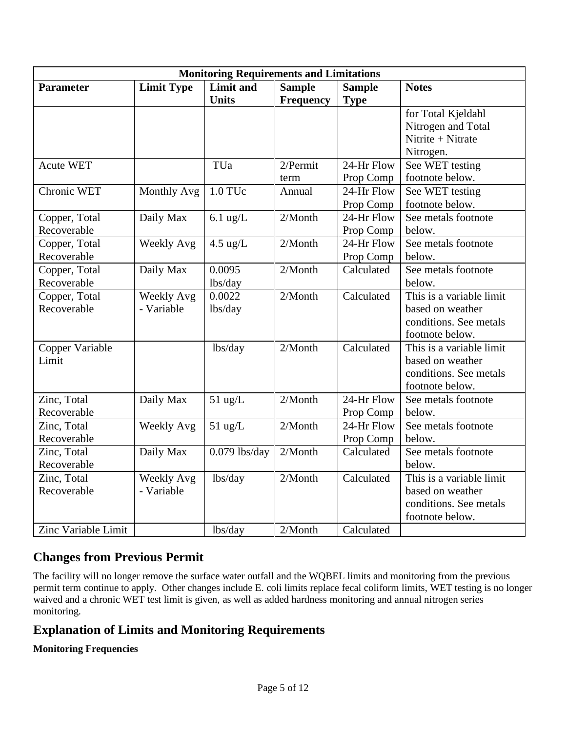| <b>Monitoring Requirements and Limitations</b> |                          |                                  |                                   |                              |                                                                                           |  |  |
|------------------------------------------------|--------------------------|----------------------------------|-----------------------------------|------------------------------|-------------------------------------------------------------------------------------------|--|--|
| <b>Parameter</b>                               | <b>Limit Type</b>        | <b>Limit and</b><br><b>Units</b> | <b>Sample</b><br><b>Frequency</b> | <b>Sample</b><br><b>Type</b> | <b>Notes</b>                                                                              |  |  |
|                                                |                          |                                  |                                   |                              | for Total Kjeldahl<br>Nitrogen and Total<br>Nitrite + Nitrate<br>Nitrogen.                |  |  |
| <b>Acute WET</b>                               |                          | TUa                              | 2/Permit<br>term                  | 24-Hr Flow<br>Prop Comp      | See WET testing<br>footnote below.                                                        |  |  |
| Chronic WET                                    | <b>Monthly Avg</b>       | 1.0 TUc                          | Annual                            | 24-Hr Flow<br>Prop Comp      | See WET testing<br>footnote below.                                                        |  |  |
| Copper, Total<br>Recoverable                   | Daily Max                | $6.1$ ug/L                       | 2/Month                           | 24-Hr Flow<br>Prop Comp      | See metals footnote<br>below.                                                             |  |  |
| Copper, Total<br>Recoverable                   | Weekly Avg               | $4.5 \text{ ug/L}$               | 2/Month                           | 24-Hr Flow<br>Prop Comp      | See metals footnote<br>below.                                                             |  |  |
| Copper, Total<br>Recoverable                   | Daily Max                | 0.0095<br>lbs/day                | 2/Month                           | Calculated                   | See metals footnote<br>below.                                                             |  |  |
| Copper, Total<br>Recoverable                   | Weekly Avg<br>- Variable | 0.0022<br>lbs/day                | 2/Month                           | Calculated                   | This is a variable limit<br>based on weather<br>conditions. See metals<br>footnote below. |  |  |
| Copper Variable<br>Limit                       |                          | lbs/day                          | 2/Month                           | Calculated                   | This is a variable limit<br>based on weather<br>conditions. See metals<br>footnote below. |  |  |
| Zinc, Total<br>Recoverable                     | Daily Max                | $51$ ug/L                        | 2/Month                           | 24-Hr Flow<br>Prop Comp      | See metals footnote<br>below.                                                             |  |  |
| Zinc, Total<br>Recoverable                     | <b>Weekly Avg</b>        | $51$ ug/L                        | 2/Month                           | 24-Hr Flow<br>Prop Comp      | See metals footnote<br>below.                                                             |  |  |
| Zinc, Total<br>Recoverable                     | Daily Max                | $0.079$ lbs/day                  | 2/Month                           | Calculated                   | See metals footnote<br>below.                                                             |  |  |
| Zinc, Total<br>Recoverable                     | Weekly Avg<br>- Variable | lbs/day                          | 2/Month                           | Calculated                   | This is a variable limit<br>based on weather<br>conditions. See metals<br>footnote below. |  |  |
| Zinc Variable Limit                            |                          | lbs/day                          | 2/Month                           | Calculated                   |                                                                                           |  |  |

The facility will no longer remove the surface water outfall and the WQBEL limits and monitoring from the previous permit term continue to apply. Other changes include E. coli limits replace fecal coliform limits, WET testing is no longer waived and a chronic WET test limit is given, as well as added hardness monitoring and annual nitrogen series monitoring.

### **Explanation of Limits and Monitoring Requirements**

**Monitoring Frequencies**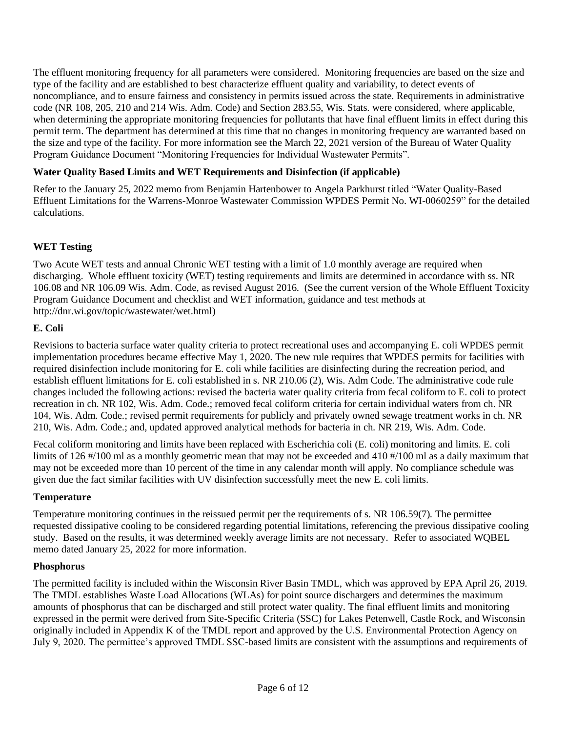The effluent monitoring frequency for all parameters were considered. Monitoring frequencies are based on the size and type of the facility and are established to best characterize effluent quality and variability, to detect events of noncompliance, and to ensure fairness and consistency in permits issued across the state. Requirements in administrative code (NR 108, 205, 210 and 214 Wis. Adm. Code) and Section 283.55, Wis. Stats. were considered, where applicable, when determining the appropriate monitoring frequencies for pollutants that have final effluent limits in effect during this permit term. The department has determined at this time that no changes in monitoring frequency are warranted based on the size and type of the facility. For more information see the March 22, 2021 version of the Bureau of Water Quality Program Guidance Document "Monitoring Frequencies for Individual Wastewater Permits".

#### **Water Quality Based Limits and WET Requirements and Disinfection (if applicable)**

Refer to the January 25, 2022 memo from Benjamin Hartenbower to Angela Parkhurst titled "Water Quality-Based Effluent Limitations for the Warrens-Monroe Wastewater Commission WPDES Permit No. WI-0060259" for the detailed calculations.

#### **WET Testing**

Two Acute WET tests and annual Chronic WET testing with a limit of 1.0 monthly average are required when discharging. Whole effluent toxicity (WET) testing requirements and limits are determined in accordance with ss. NR 106.08 and NR 106.09 Wis. Adm. Code, as revised August 2016. (See the current version of the Whole Effluent Toxicity Program Guidance Document and checklist and WET information, guidance and test methods at http://dnr.wi.gov/topic/wastewater/wet.html)

#### **E. Coli**

Revisions to bacteria surface water quality criteria to protect recreational uses and accompanying E. coli WPDES permit implementation procedures became effective May 1, 2020. The new rule requires that WPDES permits for facilities with required disinfection include monitoring for E. coli while facilities are disinfecting during the recreation period, and establish effluent limitations for E. coli established in s. NR 210.06 (2), Wis. Adm Code. The administrative code rule changes included the following actions: revised the bacteria water quality criteria from fecal coliform to E. coli to protect recreation in ch. NR 102, Wis. Adm. Code.; removed fecal coliform criteria for certain individual waters from ch. NR 104, Wis. Adm. Code.; revised permit requirements for publicly and privately owned sewage treatment works in ch. NR 210, Wis. Adm. Code.; and, updated approved analytical methods for bacteria in ch. NR 219, Wis. Adm. Code.

Fecal coliform monitoring and limits have been replaced with Escherichia coli (E. coli) monitoring and limits. E. coli limits of 126 #/100 ml as a monthly geometric mean that may not be exceeded and 410 #/100 ml as a daily maximum that may not be exceeded more than 10 percent of the time in any calendar month will apply. No compliance schedule was given due the fact similar facilities with UV disinfection successfully meet the new E. coli limits.

#### **Temperature**

Temperature monitoring continues in the reissued permit per the requirements of s. NR 106.59(7). The permittee requested dissipative cooling to be considered regarding potential limitations, referencing the previous dissipative cooling study. Based on the results, it was determined weekly average limits are not necessary. Refer to associated WQBEL memo dated January 25, 2022 for more information.

#### **Phosphorus**

The permitted facility is included within the Wisconsin River Basin TMDL, which was approved by EPA April 26, 2019. The TMDL establishes Waste Load Allocations (WLAs) for point source dischargers and determines the maximum amounts of phosphorus that can be discharged and still protect water quality. The final effluent limits and monitoring expressed in the permit were derived from Site-Specific Criteria (SSC) for Lakes Petenwell, Castle Rock, and Wisconsin originally included in Appendix K of the TMDL report and approved by the U.S. Environmental Protection Agency on July 9, 2020. The permittee's approved TMDL SSC-based limits are consistent with the assumptions and requirements of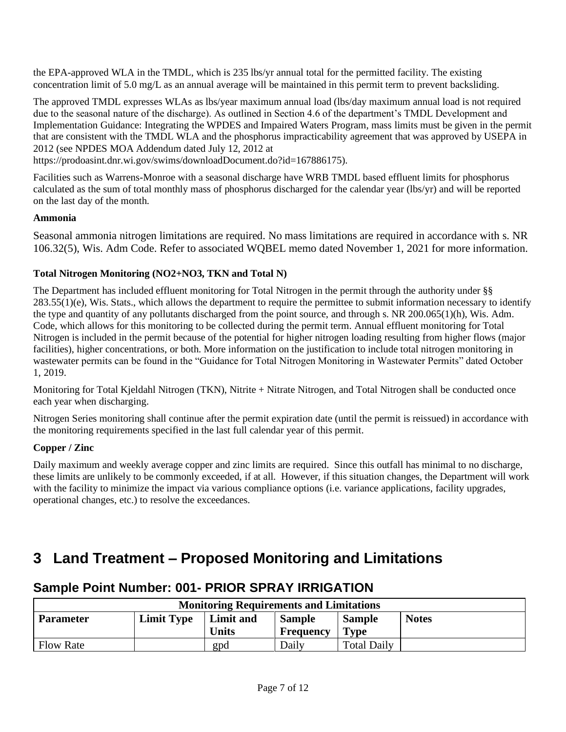the EPA-approved WLA in the TMDL, which is 235 lbs/yr annual total for the permitted facility. The existing concentration limit of 5.0 mg/L as an annual average will be maintained in this permit term to prevent backsliding.

The approved TMDL expresses WLAs as lbs/year maximum annual load (lbs/day maximum annual load is not required due to the seasonal nature of the discharge). As outlined in Section 4.6 of the department's TMDL Development and Implementation Guidance: Integrating the WPDES and Impaired Waters Program, mass limits must be given in the permit that are consistent with the TMDL WLA and the phosphorus impracticability agreement that was approved by USEPA in 2012 (see NPDES MOA Addendum dated July 12, 2012 at

https://prodoasint.dnr.wi.gov/swims/downloadDocument.do?id=167886175).

Facilities such as Warrens-Monroe with a seasonal discharge have WRB TMDL based effluent limits for phosphorus calculated as the sum of total monthly mass of phosphorus discharged for the calendar year (lbs/yr) and will be reported on the last day of the month.

#### **Ammonia**

Seasonal ammonia nitrogen limitations are required. No mass limitations are required in accordance with s. NR 106.32(5), Wis. Adm Code. Refer to associated WQBEL memo dated November 1, 2021 for more information.

#### **Total Nitrogen Monitoring (NO2+NO3, TKN and Total N)**

The Department has included effluent monitoring for Total Nitrogen in the permit through the authority under §§  $283.55(1)$ (e), Wis. Stats., which allows the department to require the permittee to submit information necessary to identify the type and quantity of any pollutants discharged from the point source, and through s. NR 200.065(1)(h), Wis. Adm. Code, which allows for this monitoring to be collected during the permit term. Annual effluent monitoring for Total Nitrogen is included in the permit because of the potential for higher nitrogen loading resulting from higher flows (major facilities), higher concentrations, or both. More information on the justification to include total nitrogen monitoring in wastewater permits can be found in the "Guidance for Total Nitrogen Monitoring in Wastewater Permits" dated October 1, 2019.

Monitoring for Total Kjeldahl Nitrogen (TKN), Nitrite + Nitrate Nitrogen, and Total Nitrogen shall be conducted once each year when discharging.

Nitrogen Series monitoring shall continue after the permit expiration date (until the permit is reissued) in accordance with the monitoring requirements specified in the last full calendar year of this permit.

#### **Copper / Zinc**

Daily maximum and weekly average copper and zinc limits are required. Since this outfall has minimal to no discharge, these limits are unlikely to be commonly exceeded, if at all. However, if this situation changes, the Department will work with the facility to minimize the impact via various compliance options (i.e. variance applications, facility upgrades, operational changes, etc.) to resolve the exceedances.

## **3 Land Treatment – Proposed Monitoring and Limitations**

| <b>Monitoring Requirements and Limitations</b> |                   |                           |                            |                       |              |  |
|------------------------------------------------|-------------------|---------------------------|----------------------------|-----------------------|--------------|--|
| <b>Parameter</b>                               | <b>Limit Type</b> | Limit and<br><b>Units</b> | <b>Sample</b><br>Frequency | <b>Sample</b><br>Type | <b>Notes</b> |  |
| <b>Flow Rate</b>                               |                   | gpd                       | Daily                      | <b>Total Daily</b>    |              |  |

#### **Sample Point Number: 001- PRIOR SPRAY IRRIGATION**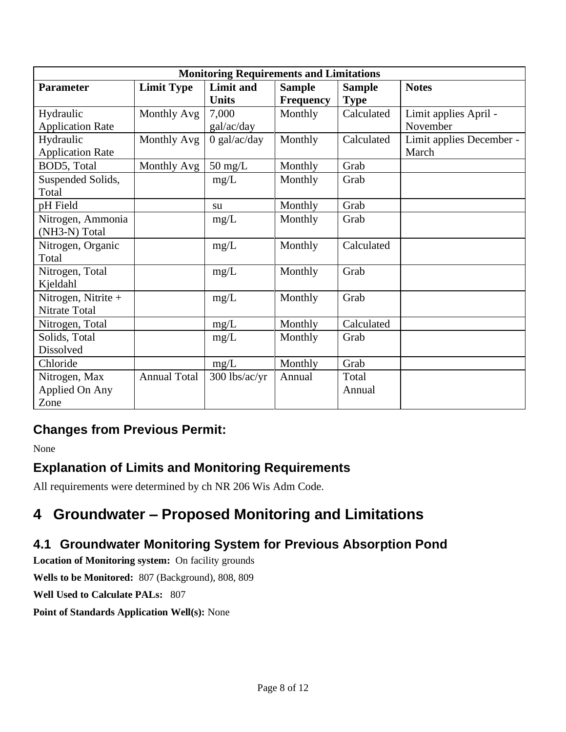| <b>Monitoring Requirements and Limitations</b> |                     |                   |                  |               |                          |  |  |
|------------------------------------------------|---------------------|-------------------|------------------|---------------|--------------------------|--|--|
| <b>Parameter</b>                               | <b>Limit Type</b>   | Limit and         | <b>Sample</b>    | <b>Sample</b> | <b>Notes</b>             |  |  |
|                                                |                     | <b>Units</b>      | <b>Frequency</b> | <b>Type</b>   |                          |  |  |
| Hydraulic                                      | Monthly Avg         | 7,000             | Monthly          | Calculated    | Limit applies April -    |  |  |
| <b>Application Rate</b>                        |                     | gal/ac/day        |                  |               | November                 |  |  |
| Hydraulic                                      | Monthly Avg         | $0$ gal/ac/day    | Monthly          | Calculated    | Limit applies December - |  |  |
| <b>Application Rate</b>                        |                     |                   |                  |               | March                    |  |  |
| BOD5, Total                                    | Monthly Avg         | $50 \text{ mg/L}$ | Monthly          | Grab          |                          |  |  |
| Suspended Solids,                              |                     | mg/L              | Monthly          | Grab          |                          |  |  |
| Total                                          |                     |                   |                  |               |                          |  |  |
| pH Field                                       |                     | su                | Monthly          | Grab          |                          |  |  |
| Nitrogen, Ammonia                              |                     | mg/L              | Monthly          | Grab          |                          |  |  |
| (NH3-N) Total                                  |                     |                   |                  |               |                          |  |  |
| Nitrogen, Organic                              |                     | mg/L              | Monthly          | Calculated    |                          |  |  |
| Total                                          |                     |                   |                  |               |                          |  |  |
| Nitrogen, Total                                |                     | mg/L              | Monthly          | Grab          |                          |  |  |
| Kjeldahl                                       |                     |                   |                  |               |                          |  |  |
| Nitrogen, Nitrite +                            |                     | mg/L              | Monthly          | Grab          |                          |  |  |
| Nitrate Total                                  |                     |                   |                  |               |                          |  |  |
| Nitrogen, Total                                |                     | mg/L              | Monthly          | Calculated    |                          |  |  |
| Solids, Total                                  |                     | mg/L              | Monthly          | Grab          |                          |  |  |
| Dissolved                                      |                     |                   |                  |               |                          |  |  |
| Chloride                                       |                     | mg/L              | Monthly          | Grab          |                          |  |  |
| Nitrogen, Max                                  | <b>Annual Total</b> | 300 lbs/ac/yr     | Annual           | Total         |                          |  |  |
| Applied On Any                                 |                     |                   |                  | Annual        |                          |  |  |
| Zone                                           |                     |                   |                  |               |                          |  |  |

None

## **Explanation of Limits and Monitoring Requirements**

All requirements were determined by ch NR 206 Wis Adm Code.

# **4 Groundwater – Proposed Monitoring and Limitations**

## **4.1 Groundwater Monitoring System for Previous Absorption Pond**

**Location of Monitoring system:** On facility grounds

**Wells to be Monitored:** 807 (Background), 808, 809

**Well Used to Calculate PALs:** 807

**Point of Standards Application Well(s):** None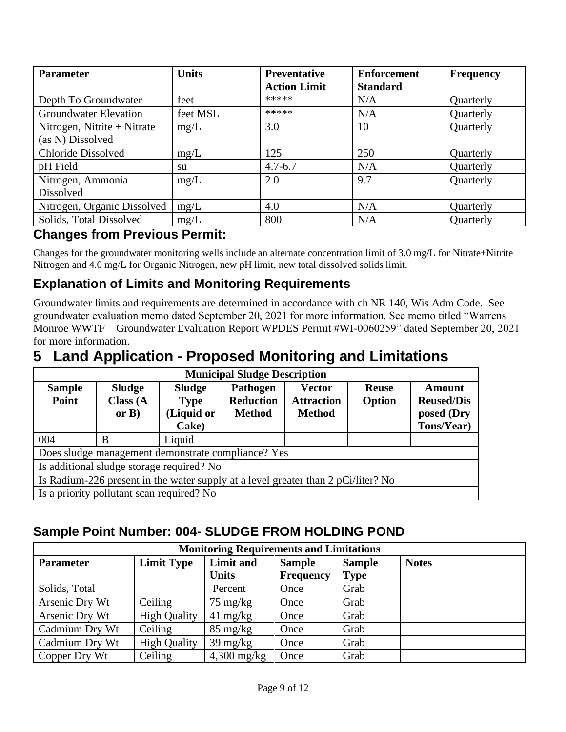| <b>Parameter</b>             | <b>Units</b> | <b>Preventative</b> | <b>Enforcement</b> | <b>Frequency</b> |
|------------------------------|--------------|---------------------|--------------------|------------------|
|                              |              | <b>Action Limit</b> | <b>Standard</b>    |                  |
| Depth To Groundwater         | feet         | *****               | N/A                | Quarterly        |
| <b>Groundwater Elevation</b> | feet MSL     | *****               | N/A                | Quarterly        |
| Nitrogen, Nitrite + Nitrate  | mg/L         | 3.0                 | 10                 | Quarterly        |
| (as N) Dissolved             |              |                     |                    |                  |
| <b>Chloride Dissolved</b>    | mg/L         | 125                 | 250                | Quarterly        |
| pH Field                     | su           | $4.7 - 6.7$         | N/A                | Quarterly        |
| Nitrogen, Ammonia            | mg/L         | 2.0                 | 9.7                | Quarterly        |
| Dissolved                    |              |                     |                    |                  |
| Nitrogen, Organic Dissolved  | mg/L         | 4.0                 | N/A                | Quarterly        |
| Solids, Total Dissolved      | mg/L         | 800                 | N/A                | Quarterly        |

Changes for the groundwater monitoring wells include an alternate concentration limit of 3.0 mg/L for Nitrate+Nitrite Nitrogen and 4.0 mg/L for Organic Nitrogen, new pH limit, new total dissolved solids limit.

## **Explanation of Limits and Monitoring Requirements**

Groundwater limits and requirements are determined in accordance with ch NR 140, Wis Adm Code. See groundwater evaluation memo dated September 20, 2021 for more information. See memo titled "Warrens Monroe WWTF – Groundwater Evaluation Report WPDES Permit #WI-0060259" dated September 20, 2021 for more information.

# **5 Land Application - Proposed Monitoring and Limitations**

| <b>Municipal Sludge Description</b>                                               |                                           |                                                     |                                               |                                              |                        |                                                                |  |  |  |
|-----------------------------------------------------------------------------------|-------------------------------------------|-----------------------------------------------------|-----------------------------------------------|----------------------------------------------|------------------------|----------------------------------------------------------------|--|--|--|
| <b>Sample</b><br>Point                                                            | <b>Sludge</b><br>Class (A<br>or $B$ )     | <b>Sludge</b><br><b>Type</b><br>(Liquid or<br>Cake) | Pathogen<br><b>Reduction</b><br><b>Method</b> | Vector<br><b>Attraction</b><br><b>Method</b> | <b>Reuse</b><br>Option | <b>Amount</b><br><b>Reused/Dis</b><br>posed (Dry<br>Tons/Year) |  |  |  |
| 004                                                                               | B                                         | Liquid                                              |                                               |                                              |                        |                                                                |  |  |  |
|                                                                                   |                                           | Does sludge management demonstrate compliance? Yes  |                                               |                                              |                        |                                                                |  |  |  |
| Is additional sludge storage required? No                                         |                                           |                                                     |                                               |                                              |                        |                                                                |  |  |  |
| Is Radium-226 present in the water supply at a level greater than 2 pCi/liter? No |                                           |                                                     |                                               |                                              |                        |                                                                |  |  |  |
|                                                                                   | Is a priority pollutant scan required? No |                                                     |                                               |                                              |                        |                                                                |  |  |  |

### **Sample Point Number: 004- SLUDGE FROM HOLDING POND**

| <b>Monitoring Requirements and Limitations</b> |                     |                           |                                   |                              |              |  |  |  |
|------------------------------------------------|---------------------|---------------------------|-----------------------------------|------------------------------|--------------|--|--|--|
| <b>Parameter</b>                               | <b>Limit Type</b>   | Limit and<br><b>Units</b> | <b>Sample</b><br><b>Frequency</b> | <b>Sample</b><br><b>Type</b> | <b>Notes</b> |  |  |  |
| Solids, Total                                  |                     | Percent                   | Once                              | Grab                         |              |  |  |  |
| Arsenic Dry Wt                                 | Ceiling             | $75 \text{ mg/kg}$        | Once                              | Grab                         |              |  |  |  |
| Arsenic Dry Wt                                 | <b>High Quality</b> | $41 \text{ mg/kg}$        | Once                              | Grab                         |              |  |  |  |
| Cadmium Dry Wt                                 | Ceiling             | $85 \text{ mg/kg}$        | Once                              | Grab                         |              |  |  |  |
| Cadmium Dry Wt                                 | <b>High Quality</b> | $39 \text{ mg/kg}$        | Once                              | Grab                         |              |  |  |  |
| Copper Dry Wt                                  | Ceiling             | $4,300$ mg/kg             | Once                              | Grab                         |              |  |  |  |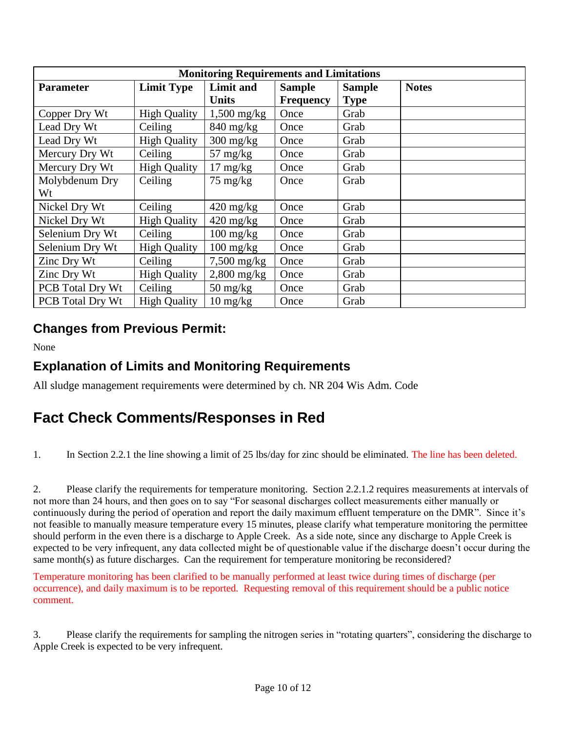| <b>Monitoring Requirements and Limitations</b> |                     |                                   |                  |               |              |  |  |  |
|------------------------------------------------|---------------------|-----------------------------------|------------------|---------------|--------------|--|--|--|
| <b>Parameter</b>                               | <b>Limit Type</b>   | Limit and                         | <b>Sample</b>    | <b>Sample</b> | <b>Notes</b> |  |  |  |
|                                                |                     | <b>Units</b>                      | <b>Frequency</b> | <b>Type</b>   |              |  |  |  |
| Copper Dry Wt                                  | <b>High Quality</b> | $1,500$ mg/kg                     | Once             | Grab          |              |  |  |  |
| Lead Dry Wt                                    | Ceiling             | $840$ mg/kg                       | Once             | Grab          |              |  |  |  |
| Lead Dry Wt                                    | <b>High Quality</b> | $300 \frac{\text{mg}}{\text{kg}}$ | Once             | Grab          |              |  |  |  |
| Mercury Dry Wt                                 | Ceiling             | $57 \text{ mg/kg}$                | Once             | Grab          |              |  |  |  |
| Mercury Dry Wt                                 | <b>High Quality</b> | $17 \text{ mg/kg}$                | Once             | Grab          |              |  |  |  |
| Molybdenum Dry                                 | Ceiling             | $75 \text{ mg/kg}$                | Once             | Grab          |              |  |  |  |
| Wt                                             |                     |                                   |                  |               |              |  |  |  |
| Nickel Dry Wt                                  | Ceiling             | $420 \frac{\text{mg}}{\text{kg}}$ | Once             | Grab          |              |  |  |  |
| Nickel Dry Wt                                  | <b>High Quality</b> | $420 \text{ mg/kg}$               | Once             | Grab          |              |  |  |  |
| Selenium Dry Wt                                | Ceiling             | $100 \text{ mg/kg}$               | Once             | Grab          |              |  |  |  |
| Selenium Dry Wt                                | <b>High Quality</b> | $100 \text{ mg/kg}$               | Once             | Grab          |              |  |  |  |
| Zinc Dry Wt                                    | Ceiling             | $7,500$ mg/kg                     | Once             | Grab          |              |  |  |  |
| Zinc Dry Wt                                    | <b>High Quality</b> | $2,800$ mg/kg                     | Once             | Grab          |              |  |  |  |
| PCB Total Dry Wt                               | Ceiling             | $50 \frac{\text{mg}}{\text{kg}}$  | Once             | Grab          |              |  |  |  |
| <b>PCB</b> Total Dry Wt                        | <b>High Quality</b> | $10 \text{ mg/kg}$                | Once             | Grab          |              |  |  |  |

None

### **Explanation of Limits and Monitoring Requirements**

All sludge management requirements were determined by ch. NR 204 Wis Adm. Code

# **Fact Check Comments/Responses in Red**

1. In Section 2.2.1 the line showing a limit of 25 lbs/day for zinc should be eliminated. The line has been deleted.

2. Please clarify the requirements for temperature monitoring. Section 2.2.1.2 requires measurements at intervals of not more than 24 hours, and then goes on to say "For seasonal discharges collect measurements either manually or continuously during the period of operation and report the daily maximum effluent temperature on the DMR". Since it's not feasible to manually measure temperature every 15 minutes, please clarify what temperature monitoring the permittee should perform in the even there is a discharge to Apple Creek. As a side note, since any discharge to Apple Creek is expected to be very infrequent, any data collected might be of questionable value if the discharge doesn't occur during the same month(s) as future discharges. Can the requirement for temperature monitoring be reconsidered?

Temperature monitoring has been clarified to be manually performed at least twice during times of discharge (per occurrence), and daily maximum is to be reported. Requesting removal of this requirement should be a public notice comment.

3. Please clarify the requirements for sampling the nitrogen series in "rotating quarters", considering the discharge to Apple Creek is expected to be very infrequent.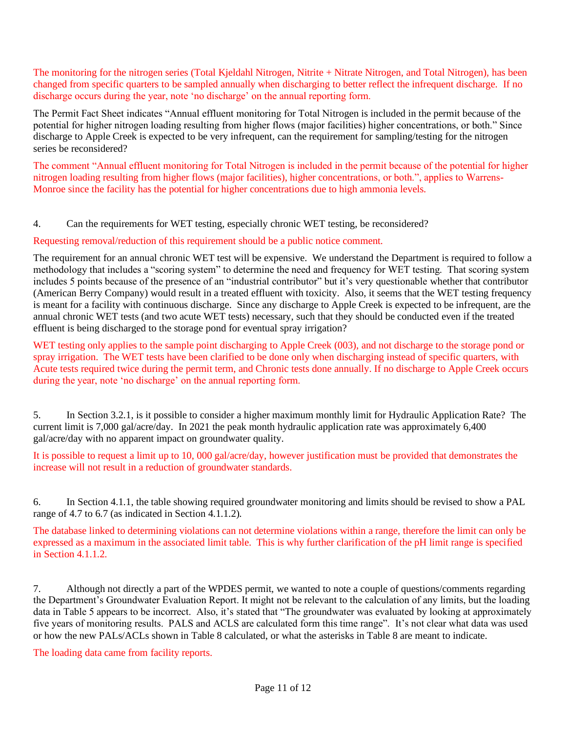The monitoring for the nitrogen series (Total Kjeldahl Nitrogen, Nitrite + Nitrate Nitrogen, and Total Nitrogen), has been changed from specific quarters to be sampled annually when discharging to better reflect the infrequent discharge. If no discharge occurs during the year, note 'no discharge' on the annual reporting form.

The Permit Fact Sheet indicates "Annual effluent monitoring for Total Nitrogen is included in the permit because of the potential for higher nitrogen loading resulting from higher flows (major facilities) higher concentrations, or both." Since discharge to Apple Creek is expected to be very infrequent, can the requirement for sampling/testing for the nitrogen series be reconsidered?

The comment "Annual effluent monitoring for Total Nitrogen is included in the permit because of the potential for higher nitrogen loading resulting from higher flows (major facilities), higher concentrations, or both.", applies to Warrens-Monroe since the facility has the potential for higher concentrations due to high ammonia levels.

#### 4. Can the requirements for WET testing, especially chronic WET testing, be reconsidered?

#### Requesting removal/reduction of this requirement should be a public notice comment.

The requirement for an annual chronic WET test will be expensive. We understand the Department is required to follow a methodology that includes a "scoring system" to determine the need and frequency for WET testing. That scoring system includes 5 points because of the presence of an "industrial contributor" but it's very questionable whether that contributor (American Berry Company) would result in a treated effluent with toxicity. Also, it seems that the WET testing frequency is meant for a facility with continuous discharge. Since any discharge to Apple Creek is expected to be infrequent, are the annual chronic WET tests (and two acute WET tests) necessary, such that they should be conducted even if the treated effluent is being discharged to the storage pond for eventual spray irrigation?

WET testing only applies to the sample point discharging to Apple Creek (003), and not discharge to the storage pond or spray irrigation. The WET tests have been clarified to be done only when discharging instead of specific quarters, with Acute tests required twice during the permit term, and Chronic tests done annually. If no discharge to Apple Creek occurs during the year, note 'no discharge' on the annual reporting form.

5. In Section 3.2.1, is it possible to consider a higher maximum monthly limit for Hydraulic Application Rate? The current limit is 7,000 gal/acre/day. In 2021 the peak month hydraulic application rate was approximately 6,400 gal/acre/day with no apparent impact on groundwater quality.

It is possible to request a limit up to 10, 000 gal/acre/day, however justification must be provided that demonstrates the increase will not result in a reduction of groundwater standards.

6. In Section 4.1.1, the table showing required groundwater monitoring and limits should be revised to show a PAL range of 4.7 to 6.7 (as indicated in Section 4.1.1.2).

The database linked to determining violations can not determine violations within a range, therefore the limit can only be expressed as a maximum in the associated limit table. This is why further clarification of the pH limit range is specified in Section 4.1.1.2.

7. Although not directly a part of the WPDES permit, we wanted to note a couple of questions/comments regarding the Department's Groundwater Evaluation Report. It might not be relevant to the calculation of any limits, but the loading data in Table 5 appears to be incorrect. Also, it's stated that "The groundwater was evaluated by looking at approximately five years of monitoring results. PALS and ACLS are calculated form this time range". It's not clear what data was used or how the new PALs/ACLs shown in Table 8 calculated, or what the asterisks in Table 8 are meant to indicate.

The loading data came from facility reports.